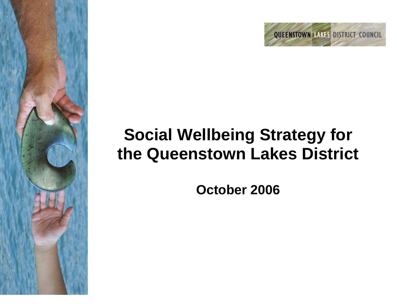

# **Social Wellbeing Strategy for the Queenstown Lakes District**

**October 2006** 

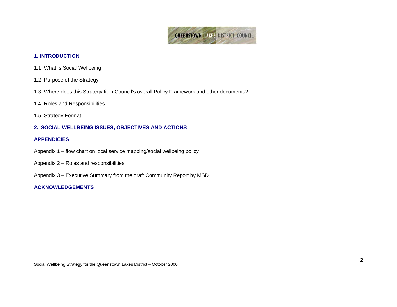

# **1. INTRODUCTION**

- 1.1 What is Social Wellbeing
- 1.2 Purpose of the Strategy
- 1.3 Where does this Strategy fit in Council's overall Policy Framework and other documents?
- 1.4 Roles and Responsibilities
- 1.5 Strategy Format

# **2. SOCIAL WELLBEING ISSUES, OBJECTIVES AND ACTIONS**

#### **APPENDICIES**

- Appendix 1 flow chart on local service mapping/social wellbeing policy
- Appendix 2 Roles and responsibilities
- Appendix 3 Executive Summary from the draft Community Report by MSD

# **ACKNOWLEDGEMENTS**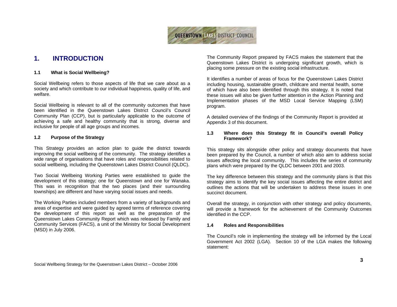

# **1. INTRODUCTION**

#### **1.1 What is Social Wellbeing?**

Social Wellbeing refers to those aspects of life that we care about as a society and which contribute to our individual happiness, quality of life, and welfare.

Social Wellbeing is relevant to all of the community outcomes that have been identified in the Queenstown Lakes District Council's Council Community Plan (CCP), but is particularly applicable to the outcome of achieving a safe and healthy community that is strong, diverse and inclusive for people of all age groups and incomes.

#### **1.2 Purpose of the Strategy**

This Strategy provides an action plan to guide the district towards improving the social wellbeing of the community. The strategy identifies a wide range of organisations that have roles and responsibilities related to social wellbeing, including the Queenstown Lakes District Council (QLDC).

Two Social Wellbeing Working Parties were established to guide the development of this strategy; one for Queenstown and one for Wanaka. This was in recognition that the two places (and their surrounding townships) are different and have varying social issues and needs.

The Working Parties included members from a variety of backgrounds and areas of expertise and were guided by agreed terms of reference covering the development of this report as well as the preparation of the Queenstown Lakes Community Report which was released by Family and Community Services (FACS), a unit of the Ministry for Social Development (MSD) in July 2006.

The Community Report prepared by FACS makes the statement that the Queenstown Lakes District is undergoing significant growth, which is placing some pressure on the existing social infrastructure.

It identifies a number of areas of focus for the Queenstown Lakes District including housing, sustainable growth, childcare and mental health, some of which have also been identified through this strategy. It is noted that these issues will also be given further attention in the Action Planning and Implementation phases of the MSD Local Service Mapping (LSM) program.

A detailed overview of the findings of the Community Report is provided at Appendix 3 of this document.

#### **1.3 Where does this Strategy fit in Council's overall Policy Framework?**

This strategy sits alongside other policy and strategy documents that have been prepared by the Council, a number of which also aim to address social issues affecting the local community. This includes the series of community plans which were prepared by the QLDC between 2001 and 2003.

The key difference between this strategy and the community plans is that this strategy aims to identify the key social issues affecting the entire district and outlines the actions that will be undertaken to address these issues in one succinct document.

Overall the strategy, in conjunction with other strategy and policy documents, will provide a framework for the achievement of the Community Outcomes identified in the CCP.

#### **1.4 Roles and Responsibilities**

The Council's role in implementing the strategy will be informed by the Local Government Act 2002 (LGA). Section 10 of the LGA makes the following statement: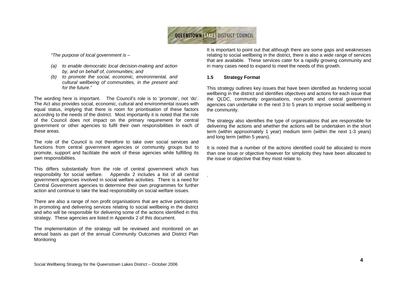

.

*"The purpose of local government is –* 

- *(a) to enable democratic local decision-making and action by, and on behalf of, communities; and*
- *(b) to promote the social, economic, environmental, and cultural wellbeing of communities, in the present and for the future."*

The wording here is important. The Council's role is to 'promote', not 'do'. The Act also provides social, economic, cultural and environmental issues with equal status, implying that there is room for prioritisation of these factors according to the needs of the district. Most importantly it is noted that the role of the Council does not impact on the primary requirement for central government or other agencies to fulfil their own responsibilities in each of these areas.

The role of the Council is not therefore to take over social services and functions from central government agencies or community groups but to promote, support and facilitate the work of these agencies while fulfilling its own responsibilities.

This differs substantially from the role of central government which has responsibility for social welfare. Appendix 2 includes a list of all central government agencies involved in social welfare activities. There is a need for Central Government agencies to determine their own programmes for further action and continue to take the lead responsibility on social welfare issues.

There are also a range of non profit organisations that are active participants in promoting and delivering services relating to social wellbeing in the district and who will be responsible for delivering some of the actions identified in this strategy. These agencies are listed in Appendix 2 of this document.

The implementation of the strategy will be reviewed and monitored on an annual basis as part of the annual Community Outcomes and District Plan Monitoring

It is important to point out that although there are some gaps and weaknesses relating to social wellbeing in the district, there is also a wide range of services that are available. These services cater for a rapidly growing community and in many cases need to expand to meet the needs of this growth.

#### **1.5 Strategy Format**

This strategy outlines key issues that have been identified as hindering social wellbeing in the district and identifies objectives and actions for each issue that the QLDC, community organisations, non-profit and central government agencies can undertake in the next 3 to 5 years to improve social wellbeing in the community.

The strategy also identifies the type of organisations that are responsible for delivering the actions and whether the actions will be undertaken in the short term (within approximately 1 year) medium term (within the next 1-3 years) and long term (within 5 years).

It is noted that a number of the actions identified could be allocated to more than one issue or objective however for simplicity they have been allocated to the issue or objective that they most relate to.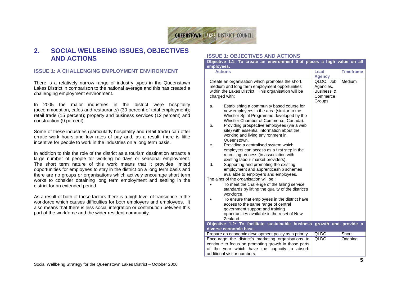

# **2. SOCIAL WELLBEING ISSUES, OBJECTIVES AND ACTIONS**

# **ISSUE 1: A CHALLENGING EMPLOYMENT ENVIRONMENT**

There is a relatively narrow range of industry types in the Queenstown Lakes District in comparison to the national average and this has created a challenging employment environment.

In 2005 the major industries in the district were hospitality (accommodation, cafes and restaurants) (30 percent of total employment); retail trade (15 percent); property and business services (12 percent) and construction (9 percent).

Some of these industries (particularly hospitality and retail trade) can offer erratic work hours and low rates of pay and, as a result, there is little incentive for people to work in the industries on a long term basis.

In addition to this the role of the district as a tourism destination attracts a large number of people for working holidays or seasonal employment. The short term nature of this work means that it provides limited opportunities for employees to stay in the district on a long term basis and there are no groups or organisations which actively encourage short term works to consider obtaining long term employment and settling in the district for an extended period.

As a result of both of these factors there is a high level of transience in the workforce which causes difficulties for both employers and employees. It also means that there is less social integration or contribution between this part of the workforce and the wider resident community.

# **ISSUE 1: OBJECTIVES AND ACTIONS**

| employees.                                                                                                                                                                                                     | Objective 1.1: To create an environment that places a high value on all                                                                                                        |                         |                  |  |  |
|----------------------------------------------------------------------------------------------------------------------------------------------------------------------------------------------------------------|--------------------------------------------------------------------------------------------------------------------------------------------------------------------------------|-------------------------|------------------|--|--|
|                                                                                                                                                                                                                | <b>Actions</b>                                                                                                                                                                 | Lead                    | <b>Timeframe</b> |  |  |
|                                                                                                                                                                                                                |                                                                                                                                                                                | <b>Agency</b>           |                  |  |  |
|                                                                                                                                                                                                                | Create an organisation which promotes the short,<br>medium and long term employment opportunities                                                                              | QLDC, Job               | Medium           |  |  |
|                                                                                                                                                                                                                | within the Lakes District. This organisation will be                                                                                                                           | Agencies,<br>Business & |                  |  |  |
|                                                                                                                                                                                                                | charged with:                                                                                                                                                                  | Commerce                |                  |  |  |
|                                                                                                                                                                                                                |                                                                                                                                                                                | Groups                  |                  |  |  |
| a.                                                                                                                                                                                                             | Establishing a community based course for<br>new employees in the area (similar to the<br>Whistler Spirit Programme developed by the<br>Whistler Chamber of Commerce, Canada). |                         |                  |  |  |
| b.                                                                                                                                                                                                             | Providing prospective employees (via a web<br>site) with essential information about the<br>working and living environment in<br>Queenstown.                                   |                         |                  |  |  |
| c.                                                                                                                                                                                                             | Providing a centralised system which<br>employers can access as a first step in the<br>recruiting process (in association with<br>existing labour market providers).           |                         |                  |  |  |
| d.                                                                                                                                                                                                             | Supporting and promoting the existing<br>employment and apprenticeship schemes<br>available to employers and employees.                                                        |                         |                  |  |  |
|                                                                                                                                                                                                                | The aims of the organisation will be :                                                                                                                                         |                         |                  |  |  |
|                                                                                                                                                                                                                | To meet the challenge of the falling service<br>standards by lifting the quality of the district's<br>workforce.                                                               |                         |                  |  |  |
|                                                                                                                                                                                                                | To ensure that employees in the district have<br>access to the same range of central                                                                                           |                         |                  |  |  |
|                                                                                                                                                                                                                | government support and training<br>opportunities available in the reset of New                                                                                                 |                         |                  |  |  |
|                                                                                                                                                                                                                | Zealand.                                                                                                                                                                       |                         |                  |  |  |
|                                                                                                                                                                                                                | Objective 1.2: To facilitate sustainable business growth and provide a                                                                                                         |                         |                  |  |  |
|                                                                                                                                                                                                                | diverse economic base.                                                                                                                                                         |                         |                  |  |  |
|                                                                                                                                                                                                                | Prepare an economic development policy as a priority                                                                                                                           | QLDC                    | Short            |  |  |
| Encourage the district's marketing organisations to<br>QLDC<br>Ongoing<br>continue to focus on promoting growth in those parts<br>of the year which have the capacity to absorb<br>additional visitor numbers. |                                                                                                                                                                                |                         |                  |  |  |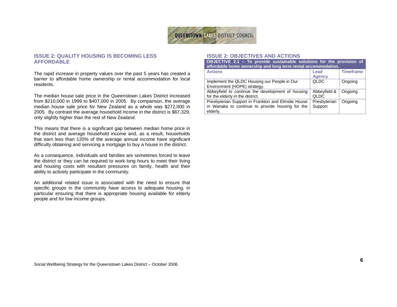

# **ISSUE 2: QUALITY HOUSING IS BECOMING LESS AFFORDABLE**

The rapid increase in property values over the past 5 years has created a barrier to affordable home ownership or rental accommodation for local residents.

The median house sale price in the Queenstown Lakes District increased from \$210,000 in 1999 to \$407,000 in 2005. By comparison, the average median house sale price for New Zealand as a whole was \$272,000 in 2005. By contrast the average household income in the district is \$67,329, only slightly higher than the rest of New Zealand.

This means that there is a significant gap between median home price in the district and average household income and, as a result, households that earn less than 120% of the average annual income have significant difficulty obtaining and servicing a mortgage to buy a house in the district.

As a consequence, individuals and families are sometimes forced to leave the district or they can be required to work long hours to meet their living and housing costs with resultant pressures on family, health and their ability to actively participate in the community.

An additional related issue is associated with the need to ensure that specific groups in the community have access to adequate housing, in particular ensuring that there is appropriate housing available for elderly people and for low income groups.

#### **ISSUE 2: OBJECTIVES AND ACTIONS**

| OBJECTIVE 2.1 - To provide sustainable solutions for the provision of<br>affordable home ownership and long term rental accommodation. |                         |                  |  |
|----------------------------------------------------------------------------------------------------------------------------------------|-------------------------|------------------|--|
| <b>Actions</b>                                                                                                                         | Lead<br><b>Agency</b>   | <b>Timeframe</b> |  |
| Implement the QLDC Housing our People in Our<br>Environment (HOPE) strategy.                                                           | <b>QLDC</b>             | Ongoing          |  |
| Abbeyfield to continue the development of housing<br>for the elderly in the district.                                                  | Abbeyfield &<br>QLDC    | Ongoing          |  |
| Presbyterian Support in Frankton and Elmslie House<br>in Wanaka to continue to provide housing for the<br>elderly.                     | Presbyterian<br>Support | Ongoing          |  |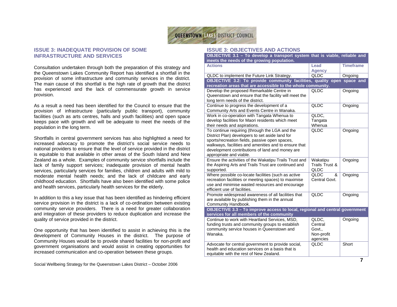

## **ISSUE 3: INADEQUATE PROVISION OF SOME INFRASTRUCTURE AND SERVICES**

Consultation undertaken through both the preparation of this strategy and the Queenstown Lakes Community Report has identified a shortfall in the provision of some infrastructure and community services in the district. The main cause of this shortfall is the high rate of growth that the district has experienced and the lack of commensurate growth in service provision.

As a result a need has been identified for the Council to ensure that the provision of infrastructure (particularly public transport), community facilities (such as arts centres, halls and youth facilities) and open space keeps pace with growth and will be adequate to meet the needs of the population in the long term.

Shortfalls in central government services has also highlighted a need for increased advocacy to promote the district's social service needs to national providers to ensure that the level of service provided in the district is equitable to that available in other areas of the South Island and New Zealand as a whole. Examples of community service shortfalls include the lack of family support services; inadequate provision of mental health services, particularly services for families, children and adults with mild to moderate mental health needs; and the lack of childcare and early childhood education. Shortfalls have also been identified with some police and health services, particularly health services for the elderly.

In addition to this a key issue that has been identified as hindering efficient service provision in the district is a lack of co-ordination between existing community service providers. There is a need for greater collaboration and integration of these providers to reduce duplication and increase the quality of service provided in the district.

One opportunity that has been identified to assist in achieving this is the development of Community Houses in the district. The purpose of Community Houses would be to provide shared facilities for non-profit and government organisations and would assist in creating opportunities for increased communication and co-operation between these groups.

#### Social Wellbeing Strategy for the Queenstown Lakes District – October 2006

#### **ISSUE 3: OBJECTIVES AND ACTIONS**

| OBJECTIVE 3.1 - To develop a transport system that is viable, reliable and  |                            |                  |  |
|-----------------------------------------------------------------------------|----------------------------|------------------|--|
| meets the needs of the growing population.                                  |                            |                  |  |
| <b>Actions</b>                                                              | Lead                       | <b>Timeframe</b> |  |
|                                                                             | <b>Agency</b>              |                  |  |
| QLDC to implement the Future Link Strategy.                                 | QLDC                       | Ongoing          |  |
| OBJECTIVE 3.2: To provide community facilities, quality open space and      |                            |                  |  |
| recreation areas that are accessible to the whole community.                |                            |                  |  |
| Develop the proposed Remarkable Centre in                                   | QLDC                       | Ongoing          |  |
| Queenstown and ensure that the facility will meet the                       |                            |                  |  |
| long term needs of the district.                                            |                            |                  |  |
| Continue to progress the development of a                                   | <b>QLDC</b>                | Ongoing          |  |
| Community Arts and Events Centre in Wanaka.                                 |                            |                  |  |
| Work in co-operation with Tangata Whenua to                                 | QLDC.                      |                  |  |
| develop facilities for Maori residents which meet                           | Tangata                    |                  |  |
| their needs and aspirations.                                                | Whenua                     |                  |  |
| To continue requiring (through the LGA and the                              | <b>QLDC</b>                | Ongoing          |  |
| District Plan) developers to set aside land for                             |                            |                  |  |
| sports/recreation fields, passive open spaces,                              |                            |                  |  |
| walkways, facilities and amenities and to ensure that                       |                            |                  |  |
| development contributions of land and money are                             |                            |                  |  |
| appropriate and viable.                                                     |                            |                  |  |
| Ensure the activities of the Wakatipu Trails Trust and                      |                            |                  |  |
| the Aspiring Arts and Trails Trust are continued and                        | Wakatipu<br>Trails Trust & | Ongoing          |  |
|                                                                             | QLDC                       |                  |  |
| supported.                                                                  | QLDC<br>&                  |                  |  |
| Where possible co-locate facilities (such as active                         | Central Govt.              | Ongoing          |  |
| recreation facilities or meeting spaces) to maximise                        |                            |                  |  |
| use and minimise wasted resources and encourage                             |                            |                  |  |
| efficient use of facilities.                                                |                            |                  |  |
| Promote widespread awareness of all facilities that                         | QLDC                       | Ongoing          |  |
| are available by publishing them in the annual                              |                            |                  |  |
| Community Handbook.                                                         |                            |                  |  |
| OBJECTIVE 3.3 - To improve access to local, regional and central government |                            |                  |  |
| services for all members of the community                                   |                            |                  |  |
| Continue to work with Heartland Services, MSD,                              | QLDC,                      | Ongoing          |  |
| funding trusts and community groups to establish                            | Central                    |                  |  |
| community service houses in Queenstown and                                  | Govt.,                     |                  |  |
| Wanaka.                                                                     | Non-profit                 |                  |  |
|                                                                             | agencies                   |                  |  |
| Advocate for central government to provide social,                          | <b>QLDC</b>                | Short            |  |
| health and education services on a basis that is                            |                            |                  |  |
| equitable with the rest of New Zealand.                                     |                            |                  |  |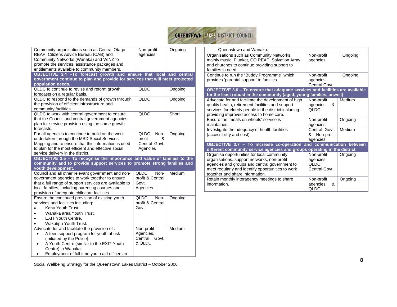

| Community organisations such as Central Otago                                                             | Non-profit                | Ongoing | Queenstown and Wanaka.                                                                      |                        |         |
|-----------------------------------------------------------------------------------------------------------|---------------------------|---------|---------------------------------------------------------------------------------------------|------------------------|---------|
| REAP, Citizens Advice Bureau (CAB) and<br>Community Networks (Wanaka) and WINZ to                         | agencies                  |         | Organisations such as Community Networks,<br>mainly music, Plunket, CO REAP, Salvation Army | Non-profit<br>agencies | Ongoing |
| promote the services, assistance packages and                                                             |                           |         | and churches to continue providing support to                                               |                        |         |
| entitlements available to community members.                                                              |                           |         | families in need.                                                                           |                        |         |
| OBJECTIVE 3.4 - To forecast growth and ensure that local and central                                      |                           |         | Continue to run the "Buddy Programme" which                                                 | Non-profit             | Ongoing |
| government continue to plan and provide for services that will meet projected                             |                           |         | provides 'parental support' to families.                                                    | agencies,              |         |
| population needs.                                                                                         |                           |         |                                                                                             | Central Govt.          |         |
| QLDC to continue to revise and reform growth                                                              | QLDC                      | Ongoing | OBJECTIVE 3.6 - To ensure that adequate services and facilities are available               |                        |         |
| forecasts on a regular basis.                                                                             |                           |         | for the least robust in the community (aged, young families, unwell)                        |                        |         |
| QLDC to respond to the demands of growth through                                                          | QLDC                      | Ongoing | Advocate for and facilitate the development of high                                         | Non-profit             | Medium  |
| the provision of efficient infrastructure and                                                             |                           |         | quality health, retirement facilities and support                                           | &<br>agencies          |         |
| community facilities.                                                                                     |                           |         | services for elderly people in the district including                                       | QLDC                   |         |
| QLDC to work with central government to ensure                                                            | QLDC                      | Short   | providing improved access to home care.                                                     |                        |         |
| that the Council and central government agencies                                                          |                           |         | Ensure the 'meals on wheels' service is                                                     | Non-profit             | Ongoing |
| plan for service provision using the same growth                                                          |                           |         | maintained.                                                                                 | agencies               |         |
| forecasts.                                                                                                |                           |         | Investigate the adequacy of health facilities                                               | Central Govt.          | Medium  |
| For all agencies to continue to build on the work                                                         | QLDC,<br>Non-             | Ongoing | (accessibility and cost).                                                                   | & Non-profit           |         |
| undertaken through the MSD Social Services                                                                | profit<br>&               |         |                                                                                             | agencies               |         |
| Mapping and to ensure that this information is used                                                       | Central Govt.             |         | OBJECTIVE 3.7 - To increase co-operation and communication between                          |                        |         |
| to plan for the most efficient and effective social                                                       | Agencies                  |         | different community service agencies and groups operating in the district.                  |                        |         |
| service delivery in the district.                                                                         |                           |         | Organise opportunities for local community                                                  | Non-profit             | Ongoing |
| OBJECTIVE 3.5 - To recognise the importance and value of families to the                                  |                           |         | organisations, support networks, non-profit                                                 | agencies.              |         |
| community and to provide support services to promote strong families and                                  |                           |         | agencies and groups and central government to                                               | QLDC,                  |         |
| youth development.                                                                                        | QLDC.<br>Non-             | Medium  | meet regularly and identify opportunities to work                                           | Central Govt.          |         |
| Council and all other relevant government and non-                                                        |                           |         | together and share information.                                                             |                        |         |
| government agencies to work together to ensure                                                            | profit & Central<br>Govt. |         | Retain monthly interagency meetings to share                                                | Non-profit             | Ongoing |
| that a full range of support services are available to<br>local families, including parenting courses and |                           |         | information.                                                                                | agencies<br>&          |         |
| provision of adequate childcare facilities.                                                               | Agencies                  |         |                                                                                             | QLDC                   |         |
| Ensure the continued provision of existing youth                                                          | QLDC,<br>Non-             | Ongoing |                                                                                             |                        |         |
| services and facilities including:                                                                        | profit & Central          |         |                                                                                             |                        |         |
| Kahu Youth Trust.<br>$\bullet$                                                                            | Govt.                     |         |                                                                                             |                        |         |
| Wanaka area Youth Trust.<br>$\bullet$                                                                     |                           |         |                                                                                             |                        |         |
| <b>EXIT Youth Centre.</b><br>$\bullet$                                                                    |                           |         |                                                                                             |                        |         |
| Wakatipu Youth Trust.<br>$\bullet$                                                                        |                           |         |                                                                                             |                        |         |
| Advocate for and facilitate the provision of :                                                            | Non-profit                | Medium  |                                                                                             |                        |         |
| A teen support program for youth at risk<br>$\bullet$                                                     | Agencies,                 |         |                                                                                             |                        |         |
| (initiated by the Police).                                                                                | Central Govt.             |         |                                                                                             |                        |         |
| A Youth Centre (similar to the EXIT Youth<br>$\bullet$                                                    | & QLDC                    |         |                                                                                             |                        |         |
| Centre) in Wanaka.                                                                                        |                           |         |                                                                                             |                        |         |
| Employment of full time youth aid officers in<br>$\bullet$                                                |                           |         |                                                                                             |                        |         |
|                                                                                                           |                           |         |                                                                                             |                        |         |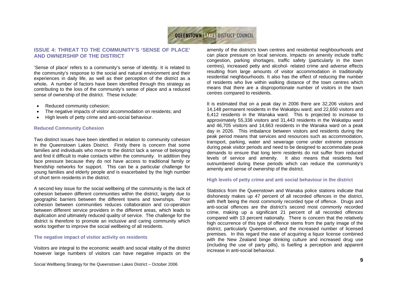

## **ISSUE 4: THREAT TO THE COMMUNITY'S 'SENSE OF PLACE' AND OWNERSHIP OF THE DISTRICT**

'Sense of place' refers to a community's sense of identity. It is related to the community's response to the social and natural environment and their experiences in daily life, as well as their perception of the district as a whole**.** A number of factors have been identified through this strategy as contributing to the loss of the community's sense of place and a reduced sense of ownership of the district. These include:

- Reduced community cohesion:
- The negative impacts of visitor accommodation on residents; and
- High levels of petty crime and anti-social behaviour.

#### **Reduced Community Cohesion**

Two distinct issues have been identified in relation to community cohesion in the Queenstown Lakes District. Firstly there is concern that some families and individuals who move to the district lack a sense of belonging and find it difficult to make contacts within the community. In addition they face pressure because they do not have access to traditional family or friendship networks for support. This can be a particular challenge for young families and elderly people and is exacerbated by the high number of short term residents in the district.

A second key issue for the social wellbeing of the community is the lack of cohesion between different communities within the district, largely due to geographic barriers between the different towns and townships. Poor cohesion between communities reduces collaboration and co-operation between different service providers in the different areas, which leads to duplication and ultimately reduced quality of service. The challenge for the district is therefore to promote an inclusive and caring community which works together to improve the social wellbeing of all residents.

#### **The negative impact of visitor activity on residents**

Visitors are integral to the economic wealth and social vitality of the district however large numbers of visitors can have negative impacts on the

Social Wellbeing Strategy for the Queenstown Lakes District – October 2006

amenity of the district's town centres and residential neighbourhoods and can place pressure on local services. Impacts on amenity include traffic congestion, parking shortages, traffic safety (particularly in the town centres), increased petty and alcohol- related crime and adverse effects resulting from large amounts of visitor accommodation in traditionally residential neighbourhoods. It also has the effect of reducing the number of residents who live within walking distance of the town centres which means that there are a disproportionate number of visitors in the town centres compared to residents.

It is estimated that on a peak day in 2006 there are 32,206 visitors and 14,148 permanent residents in the Wakatipu ward; and 22,650 visitors and 6,412 residents in the Wanaka ward. This is projected to increase to approximately 55,338 visitors and 31,443 residents in the Wakatipu ward and 46,705 visitors and 14,663 residents in the Wanaka ward on a peak day in 2026. This imbalance between visitors and residents during the peak period means that services and resources such as accommodation, transport, parking, water and sewerage come under extreme pressure during peak visitor periods and need to be designed to accommodate peak demands to ensure that long term residents do not suffer from reduced levels of service and amenity. It also means that residents feel outnumbered during these periods which can reduce the community's amenity and sense of ownership of the district.

#### **High levels of petty crime and anti social behaviour in the district**

Statistics from the Queenstown and Wanaka police stations indicate that dishonesty makes up 47 percent of all recorded offences in the district, with theft being the most commonly recorded type of offence. Drugs and anti-social offences are the district's second most commonly recorded crime, making up a significant 21 percent of all recorded offences compared with 13 percent nationally. There is concern that the relatively high occurrence of this type of offence stems from the party image of the district, particularly Queenstown, and the increased number of licensed premises. In this regard the ease of acquiring a liquor license combined with the New Zealand binge drinking culture and increased drug use (including the use of party pills), is fuelling a perception and apparent increase in anti-social behaviour.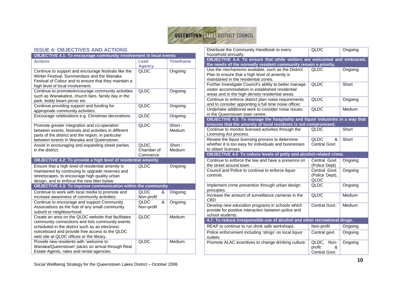

#### **ISSUE 4: OBJECTIVES AND ACTIONS**

| <b>OBJECTIVE 4.1: To encourage community involvement in local events</b>                                                                                                                                                                                  |                                 |                   |  |
|-----------------------------------------------------------------------------------------------------------------------------------------------------------------------------------------------------------------------------------------------------------|---------------------------------|-------------------|--|
| <b>Actions</b>                                                                                                                                                                                                                                            | Lead<br><b>Agency</b>           | <b>Timeframe</b>  |  |
| Continue to support and encourage festivals like the<br>Winter Festival, Summerdaze and the Wanaka<br>Festival of Colour and to ensure that they maintain a<br>high level of local involvement.                                                           | <b>QLDC</b>                     | Ongoing           |  |
| Continue to promote/encourage community activities<br>such as Wanakafest, church fairs, family day in the<br>park, teddy bears picnic etc.                                                                                                                | <b>QLDC</b>                     | Ongoing           |  |
| Continue providing support and funding for<br>appropriate community activities.                                                                                                                                                                           | QLDC                            | Ongoing           |  |
| Encourage celebrations e.g. Christmas decorations.                                                                                                                                                                                                        | QLDC                            | Ongoing           |  |
| Promote greater integration and co-operation<br>between events, festivals and activities in different<br>parts of the district and the region, in particular<br>between events in Wanaka and Queenstown.                                                  | QLDC                            | Short -<br>Medium |  |
| Assist in encouraging and expanding street parties<br>in the district.                                                                                                                                                                                    | QLDC,<br>Chamber of<br>Commerce | Short -<br>Medium |  |
| <b>OBJECTIVE 4.2: To provide a high level of residential amenity</b>                                                                                                                                                                                      |                                 |                   |  |
| Ensure that a high level of residential amenity is<br>maintained by continuing to upgrade reserves and<br>streetscapes, to encourage high quality urban<br>design, and to enforce the new litter bylaw.                                                   | QLDC                            | Ongoing           |  |
| <b>OBJECTIVE 4.3: To improve communication within the community</b>                                                                                                                                                                                       |                                 |                   |  |
| Continue to work with local media to promote and<br>increase awareness of community activities.                                                                                                                                                           | QLDC<br>&<br>Non-profit         | Ongoing           |  |
| Continue to encourage and support Community<br>Associations as the hub of any small community<br>suburb or neighbourhood.                                                                                                                                 | QLDC<br>&<br>Non-profit         | Ongoing           |  |
| Create an area on the QLDC website that facilitates<br>community connections and lists community events<br>scheduled in the district such as an electronic<br>noticeboard and provide free access to the QLDC<br>web site at QLDC offices or the library. | QLDC                            | Medium            |  |
| Provide new residents with 'welcome to<br>Wanaka/Queenstown' packs on arrival through Real<br>Estate Agents, rates and rental agencies.                                                                                                                   | QLDC                            | Medium            |  |

| Distribute the Community Handbook to every                                                                                                                     | QLDC                                    | Ongoing |  |
|----------------------------------------------------------------------------------------------------------------------------------------------------------------|-----------------------------------------|---------|--|
| household annually.                                                                                                                                            |                                         |         |  |
| <b>OBJECTIVE 4.4: To ensure that while visitors are welcomed and embraced,</b><br>the needs of the normally resident community remain a priority.              |                                         |         |  |
| Use the mechanisms available, such as the District<br>Plan to ensure that a high level of amenity is<br>maintained in the residential zones.                   | QLDC                                    | Ongoing |  |
| Further investigate Council's ability to better manage<br>visitor accommodation in established residential<br>areas and in the high density residential areas. | QLDC                                    | Short   |  |
| Continue to enforce district plan noise requirements<br>and to consider appointing a full time noise officer.                                                  | QLDC                                    | Ongoing |  |
| Undertake additional work to consider noise issues<br>in the Queenstown town centre.                                                                           | <b>QLDC</b>                             | Medium  |  |
| OBJECTIVE 4.5: To manage the hospitality and liquor industries in a way that<br>ensures that the amenity of local residents is not compromised.                |                                         |         |  |
| Continue to monitor licensed activities through the<br>Licensing Act process.                                                                                  | QLDC                                    | Short   |  |
| Review the liquor licensing process to determine<br>whether it is too easy for individuals and businesses<br>to obtain licenses.                               | <b>QLDC</b><br>ጼ<br>Central Govt.       | Short   |  |
|                                                                                                                                                                |                                         |         |  |
| OBJECTIVE 4.6: To reduce levels of petty and alcohol-related crime.                                                                                            |                                         |         |  |
| Continue to enforce the law and have a presence on<br>the street around town.                                                                                  | Central Govt.<br>(Police Dept)          | Ongoing |  |
| Council and Police to continue to enforce liquor<br>controls.                                                                                                  | Central Govt.<br>(Police Dept),<br>QLDC | Ongoing |  |
| Implement crime prevention through urban design<br>principles.                                                                                                 | QLDC                                    | Ongoing |  |
| Increase the amount of surveillance cameras in the<br>CBD                                                                                                      | <b>QLDC</b>                             | Medium  |  |
| Develop new education programs in schools which<br>provide for positive interaction between police and<br>school students.                                     | Central Govt.                           | Medium  |  |
| 4.7: To reduce irresponsible use of alcohol and other recreational drugs.                                                                                      |                                         |         |  |
| REAP to continue to run drink safe workshops.                                                                                                                  | Non-profit                              | Ongoing |  |
| Police enforcement including 'stings' on local liquor<br>outlets.<br>Promote ALAC incentives to change drinking culture.                                       | Central govt.<br>$QLDC$ ,<br>Non-       | Ongoing |  |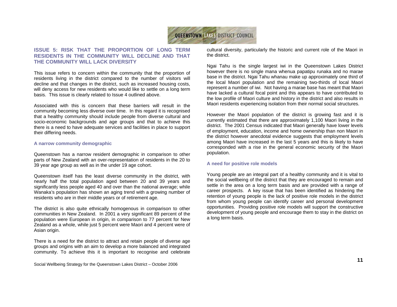

# **ISSUE 5: RISK THAT THE PROPORTION OF LONG TERM RESIDENTS IN THE COMMUNITY WILL DECLINE AND THAT THE COMMUNITY WILL LACK DIVERSITY**

This issue refers to concern within the community that the proportion of residents living in the district compared to the number of visitors will decline and that changes in the district, such as increased housing costs, will deny access for new residents who would like to settle on a long term basis. This issue is clearly related to Issue 4 outlined above.

Associated with this is concern that these barriers will result in the community becoming less diverse over time. In this regard it is recognised that a healthy community should include people from diverse cultural and socio-economic backgrounds and age groups and that to achieve this there is a need to have adequate services and facilities in place to support their differing needs.

#### **A narrow community demographic**

Queenstown has a narrow resident demographic in comparison to other parts of New Zealand with an over-representation of residents in the 20 to 39 year age group as well as in the under 19 age cohort.

Queenstown itself has the least diverse community in the district, with nearly half the total population aged between 20 and 39 years and significantly less people aged 40 and over than the national average; while Wanaka's population has shown an aging trend with a growing number of residents who are in their middle years or of retirement age.

The district is also quite ethnically homogenous in comparison to other communities in New Zealand. In 2001 a very significant 89 percent of the population were European in origin, in comparison to 77 percent for New Zealand as a whole, while just 5 percent were Maori and 4 percent were of Asian origin.

There is a need for the district to attract and retain people of diverse age groups and origins with an aim to develop a more balanced and integrated community. To achieve this it is important to recognise and celebrate

Social Wellbeing Strategy for the Queenstown Lakes District – October 2006

cultural diversity, particularly the historic and current role of the Maori in the district.

Ngai Tahu is the single largest iwi in the Queenstown Lakes District however there is no single mana whenua papatipu runaka and no marae base in the district. Ngai Tahu whanau make up approximately one third of the local Maori population and the remaining two-thirds of local Maori represent a number of iwi. Not having a marae base has meant that Maori have lacked a cultural focal point and this appears to have contributed to the low profile of Maori culture and history in the district and also results in Maori residents experiencing isolation from their normal social structures.

However the Maori population of the district is growing fast and it is currently estimated that there are approximately 1,100 Maori living in the district. The 2001 Census indicated that Maori generally have lower levels of employment, education, income and home ownership than non Maori in the district however anecdotal evidence suggests that employment levels among Maori have increased in the last 5 years and this is likely to have corresponded with a rise in the general economic security of the Maori population.

#### **A need for positive role models**

Young people are an integral part of a healthy community and it is vital to the social wellbeing of the district that they are encouraged to remain and settle in the area on a long term basis and are provided with a range of career prospects. A key issue that has been identified as hindering the retention of young people is the lack of positive role models in the district from whom young people can identify career and personal development opportunities. Providing positive role models will support the constructive development of young people and encourage them to stay in the district on a long term basis.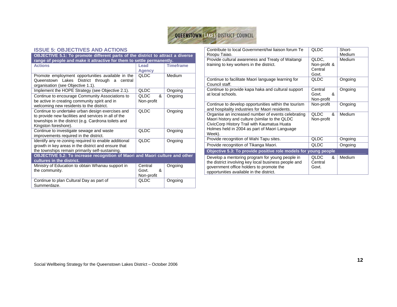

#### **ISSUE 5: OBJECTIVES AND ACTIONS**

| OBJECTIVE 5.1: To promote different parts of the district to attract a diverse<br>range of people and make it attractive for them to settle permanently.                                 |                                     |                  |
|------------------------------------------------------------------------------------------------------------------------------------------------------------------------------------------|-------------------------------------|------------------|
| <b>Actions</b>                                                                                                                                                                           | Lead                                | <b>Timeframe</b> |
|                                                                                                                                                                                          | <b>Agency</b>                       |                  |
| Promote employment opportunities available in the<br>Queenstown Lakes District through a<br>central<br>organisation (see Objective 1.1).                                                 | <b>QLDC</b>                         | Medium           |
| Implement the HOPE Strategy (see Objective 2.1).                                                                                                                                         | QLDC                                | Ongoing          |
| Continue to encourage Community Associations to<br>be active in creating community spirit and in<br>welcoming new residents to the district.                                             | <b>QLDC</b><br>&<br>Non-profit      | Ongoing          |
| Continue to undertake urban design exercises and<br>to provide new facilities and services in all of the<br>townships in the district (e.g. Cardrona toilets and<br>Kingston foreshore). | <b>QLDC</b>                         | Ongoing          |
| Continue to investigate sewage and waste<br>improvements required in the district.                                                                                                       | QLDC                                | Ongoing          |
| Identify any re-zoning required to enable additional<br>growth in key areas in the district and ensure that<br>the townships remain primarily self-sustaining.                           | <b>QLDC</b>                         | Ongoing          |
| OBJECTIVE 5.2: To increase recognition of Maori and Maori culture and other<br>cultures in the district.                                                                                 |                                     |                  |
| Ministry of Education to obtain Whanau support in<br>the community.                                                                                                                      | Central<br>ጼ<br>Govt.<br>Non-profit | Ongoing          |
| Continue to plan Cultural Day as part of<br>Summerdaze.                                                                                                                                  | <b>QLDC</b>                         | Ongoing          |

| Contribute to local Government/Iwi liaison forum Te                                                                                                                                                            | QLDC                                      | Short-<br><b>Medium</b> |
|----------------------------------------------------------------------------------------------------------------------------------------------------------------------------------------------------------------|-------------------------------------------|-------------------------|
| Roopu Taiao.<br>Provide cultural awareness and Treaty of Waitangi<br>training to key workers in the district.                                                                                                  | QLDC.<br>Non-profit &<br>Central<br>Govt. | Medium                  |
| Continue to facilitate Maori language learning for<br>Council staff.                                                                                                                                           | <b>QLDC</b>                               | Ongoing                 |
| Continue to provide kapa haka and cultural support<br>at local schools.                                                                                                                                        | Central<br>&<br>Govt.<br>Non-profit       | Ongoing                 |
| Continue to develop opportunities within the tourism<br>and hospitality industries for Maori residents.                                                                                                        | Non-profit                                | Ongoing                 |
| Organise an increased number of events celebrating<br>Maori history and culture (similar to the QLDC<br>CivicCorp History Trail with Kaumatua Huata<br>Holmes held in 2004 as part of Maori Language<br>Week). | <b>QLDC</b><br>ጼ<br>Non-profit            | Medium                  |
| Provide recognition of Wahi Tapu sites.                                                                                                                                                                        | QLDC                                      | Ongoing                 |
| Provide recognition of Tikanga Maori.                                                                                                                                                                          | QLDC                                      | Ongoing                 |
| Objective 5.3: To provide positive role models for young people                                                                                                                                                |                                           |                         |
| Develop a mentoring program for young people in<br>the district involving key local business people and<br>government office holders to promote the<br>opportunities available in the district.                | QLDC<br>&<br>Central<br>Govt.             | Medium                  |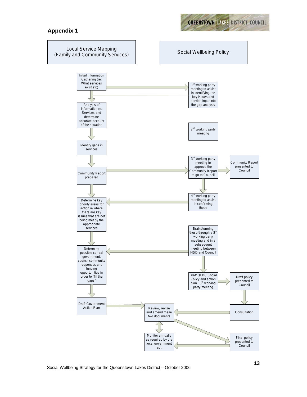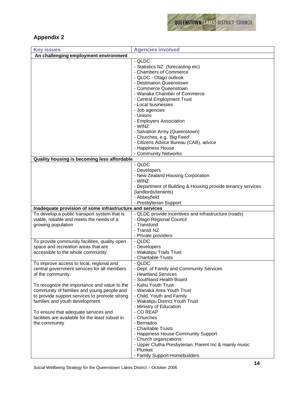

# **Appendix 2**

| <b>Key issues</b>                                        | <b>Agencies involved</b>                                         |  |  |
|----------------------------------------------------------|------------------------------------------------------------------|--|--|
| An challenging employment environment                    |                                                                  |  |  |
|                                                          | - QLDC                                                           |  |  |
|                                                          | - Statistics NZ (forecasting etc)                                |  |  |
|                                                          | - Chambers of Commerce                                           |  |  |
|                                                          | - QLDC - Otago outlook                                           |  |  |
|                                                          | - Destination Queenstown                                         |  |  |
|                                                          | - Commerce Queenstown                                            |  |  |
|                                                          | - Wanaka Chamber of Commerce                                     |  |  |
|                                                          | - Central Employment Trust                                       |  |  |
|                                                          | - Local businesses                                               |  |  |
|                                                          | - Job agencies                                                   |  |  |
|                                                          | - Unions                                                         |  |  |
|                                                          | - Employers Association                                          |  |  |
|                                                          | - WINZ                                                           |  |  |
|                                                          | - Salvation Army (Queenstown)                                    |  |  |
|                                                          | - Churches, e.g. 'Big Feed'.                                     |  |  |
|                                                          | - Citizens Advice Bureau (CAB), advice<br>- Happiness House      |  |  |
|                                                          | - Community Networks                                             |  |  |
| Quality housing is becoming less affordable              |                                                                  |  |  |
|                                                          | - QLDC                                                           |  |  |
|                                                          | - Developers                                                     |  |  |
|                                                          | - New Zealand Housing Corporation                                |  |  |
|                                                          | - WINZ                                                           |  |  |
|                                                          | - Department of Building & Housing provide tenancy services      |  |  |
|                                                          | (landlords/tenants)                                              |  |  |
|                                                          | - Abbeyfield                                                     |  |  |
|                                                          | - Presbyterian Support                                           |  |  |
| Inadequate provision of some infrastructure and services |                                                                  |  |  |
| To develop a public transport system that is             | - QLDC provide incentives and infrastructure (roads)             |  |  |
| viable, reliable and meets the needs of a                | - Otago Regional Council                                         |  |  |
| growing population                                       | - Transfund                                                      |  |  |
|                                                          | - Transit NZ                                                     |  |  |
|                                                          | - Private providers                                              |  |  |
| To provide community facilities, quality open            | - QLDC                                                           |  |  |
| space and recreation areas that are                      | - Developers                                                     |  |  |
| accessible to the whole community.                       | - Wakatipu Trails Trust                                          |  |  |
|                                                          | - Charitable Trusts                                              |  |  |
| To improve access to local, regional and                 | - QLDC                                                           |  |  |
| central government services for all members              | - Dept. of Family and Community Services<br>- Heartland Services |  |  |
| of the community.                                        | - Southland Health Board                                         |  |  |
| To recognize the importance and value to the             | - Kahu Youth Trust                                               |  |  |
| community of families and young people and               | - Wanaka Area Youth Trust                                        |  |  |
| to provide support services to promote strong            | - Child, Youth and Family                                        |  |  |
| families and youth development.                          | - Wakatipu District Youth Trust                                  |  |  |
|                                                          | - Ministry of Education                                          |  |  |
| To ensure that adequate services and                     | - CO REAP                                                        |  |  |
| facilities are available for the least robust in         | - Churches                                                       |  |  |
| the community                                            | - Bernados                                                       |  |  |
|                                                          | - Charitable Trusts                                              |  |  |
|                                                          | - Happiness House Community Support                              |  |  |
|                                                          | - Church organizations                                           |  |  |
|                                                          | - Upper Clutha Presbyterian, Parent Inc & mainly music           |  |  |
|                                                          | - Plunket                                                        |  |  |
|                                                          | - Family Support-Homebuilders                                    |  |  |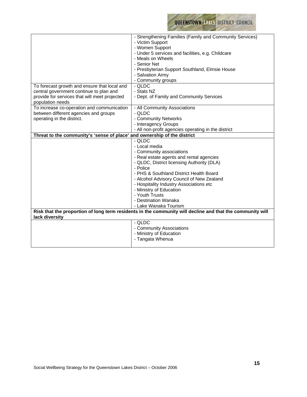

|                                                                          | - Strengthening Families (Family and Community Services)                                                  |
|--------------------------------------------------------------------------|-----------------------------------------------------------------------------------------------------------|
|                                                                          | - Victim Support                                                                                          |
|                                                                          | - Women Support                                                                                           |
|                                                                          | - Under 5 services and facilities, e.g. Childcare                                                         |
|                                                                          | - Meals on Wheels                                                                                         |
|                                                                          | - Senior Net                                                                                              |
|                                                                          | - Presbyterian Support Southland, Elmsie House                                                            |
|                                                                          | - Salvation Army                                                                                          |
|                                                                          | - Community groups                                                                                        |
| To forecast growth and ensure that local and                             | - QLDC                                                                                                    |
| central government continue to plan and                                  | - Stats NZ                                                                                                |
| provide for services that will meet projected                            | - Dept. of Family and Community Services                                                                  |
|                                                                          |                                                                                                           |
| population needs                                                         |                                                                                                           |
| To increase co-operation and communication                               | - All Community Associations                                                                              |
| between different agencies and groups                                    | - QLDC                                                                                                    |
| operating in the district.                                               | - Community Networks                                                                                      |
|                                                                          | - Interagency Groups                                                                                      |
|                                                                          | - All non-profit agencies operating in the district                                                       |
| Threat to the community's 'sense of place' and ownership of the district |                                                                                                           |
|                                                                          | - QLDC                                                                                                    |
|                                                                          | - Local media                                                                                             |
|                                                                          | - Community associations                                                                                  |
|                                                                          | - Real estate agents and rental agencies                                                                  |
|                                                                          | - QLDC, District licensing Authority (DLA)                                                                |
|                                                                          | - Police                                                                                                  |
|                                                                          | - PHS & Southland District Health Board                                                                   |
|                                                                          | - Alcohol Advisory Council of New Zealand                                                                 |
|                                                                          | - Hospitality Industry Associations etc                                                                   |
|                                                                          | - Ministry of Education                                                                                   |
|                                                                          | - Youth Trusts                                                                                            |
|                                                                          |                                                                                                           |
|                                                                          | - Destination Wanaka                                                                                      |
|                                                                          | - Lake Wanaka Tourism                                                                                     |
|                                                                          | Risk that the proportion of long term residents in the community will decline and that the community will |
| lack diversity                                                           |                                                                                                           |
|                                                                          | - QLDC                                                                                                    |
|                                                                          | - Community Associations                                                                                  |
|                                                                          | - Ministry of Education                                                                                   |
|                                                                          | - Tangata Whenua                                                                                          |
|                                                                          |                                                                                                           |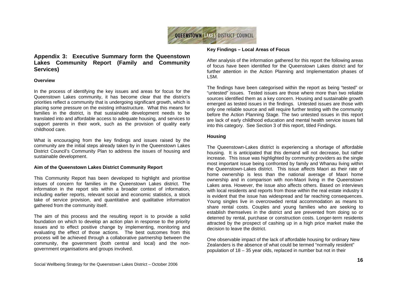

# **Appendix 3: Executive Summary form the Queenstown Lakes Community Report (Family and Community Services)**

#### **Overview**

In the process of identifying the key issues and areas for focus for the Queenstown Lakes community, it has become clear that the district's priorities reflect a community that is undergoing significant growth, which is placing some pressure on the existing infrastructure. What this means for families in the district, is that sustainable development needs to be translated into and affordable access to adequate housing, and services to support parents in their work, such as the provision of quality early childhood care.

What is encouraging from the key findings and issues raised by the community are the initial steps already taken by in the Queenstown Lakes District Council's Community Plan to address the issues of housing and sustainable development.

#### **Aim of the Queenstown Lakes District Community Report**

This Community Report has been developed to highlight and prioritise issues of concern for families in the Queenstown Lakes district. The information in the report sits within a broader context of information, including earlier reports, relevant social and economic statistics, a stock take of service provision, and quantitative and qualitative information gathered from the community itself.

The aim of this process and the resulting report is to provide a solid foundation on which to develop an action plan in response to the priority issues and to effect positive change by implementing, monitoring and evaluating the effect of those actions. The best outcomes from this process will be achieved through a collaborative partnership between the community, the government (both central and local) and the nongovernment organisations and groups involved.

#### **Key Findings – Local Areas of Focus**

After analysis of the information gathered for this report the following areas of focus have been identified for the Queenstown Lakes district and for further attention in the Action Planning and Implementation phases of LSM.

The findings have been categorised within the report as being "tested" or "untested" issues. Tested issues are those where more than two reliable sources identified them as a key concern. Housing and sustainable growth emerged as tested issues in the findings. Untested issues are those with only one reliable source and will require further testing with the community before the Action Planning Stage. The two untested issues in this report are lack of early childhood education and mental health service issues fall into this category. See Section 3 of this report, titled Findings.

## **Housing**

The Queenstown-Lakes district is experiencing a shortage of affordable housing. It is anticipated that this demand will not decrease, but rather increase. This issue was highlighted by community providers as the single most important issue being confronted by family and Whanau living within the Queenstown-Lakes district. This issue affects Maori as their rate of home ownership is less than the national average of Maori home ownership and in comparison with non-Maori living in the Queenstown Lakes area. However, the issue also affects others. Based on interviews with local residents and reports from those within the real estate industry it is evident that the issue has widespread and far reaching consequences. Young singles live in overcrowded rental accommodation as means to share rental costs. Couples and young families who are seeking to establish themselves in the district and are prevented from doing so or deterred by rental, purchase or construction costs. Longer-term residents attracted by the prospect of cashing up in a high price market make the decision to leave the district.

One observable impact of the lack of affordable housing for ordinary New Zealanders is the absence of what could be termed "normally resident" population of 18 – 35 year olds, replaced in number but not in their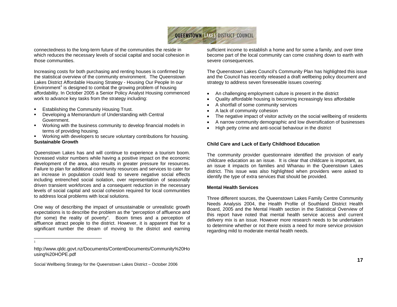

connectedness to the long-term future of the communities the reside in which reduces the necessary levels of social capital and social cohesion in those communities.

Increasing costs for both purchasing and renting houses is confirmed by the statistical overview of the community environment. The Queenstown Lakes District Affordable Housing Strategy - Housing Our People In our Environment<sup>1</sup> is designed to combat the growing problem of housing affordability. In October 2005 a Senior Policy Analyst Housing commenced work to advance key tasks from the strategy including:

- **Establishing the Community Housing Trust.**
- Developing a Memorandum of Understanding with Central Government.
- Working with the business community to develop financial models in terms of providing housing.
- Working with developers to secure voluntary contributions for housing. **Sustainable Growth**

Queenstown Lakes has and will continue to experience a tourism boom. Increased visitor numbers while having a positive impact on the economic development of the area, also results in greater pressure for resources. Failure to plan for additional community resources and services to cater for an increase in population could lead to severe negative social effects including entrenched social isolation, over representation of seasonally driven transient workforces and a consequent reduction in the necessary levels of social capital and social cohesion required for local communities to address local problems with local solutions.

One way of describing the impact of unsustainable or unrealistic growth expectations is to describe the problem as the "perception of affluence and (for some) the reality of poverty". Boom times and a perception of affluence attract people to the district. However, it is apparent that for a significant number the dream of moving to the district and earning

1

sufficient income to establish a home and for some a family, and over time become part of the local community can come crashing down to earth with severe consequences.

The Queenstown Lakes Council's Community Plan has highlighted this issue and the Council has recently released a draft wellbeing policy document and strategy to address seven foreseeable issues covering:

- An challenging employment culture is present in the district
- Quality affordable housing is becoming increasingly less affordable
- A shortfall of some community services
- A lack of community cohesion
- The negative impact of visitor activity on the social wellbeing of residents
- A narrow community demographic and low diversification of businesses
- High petty crime and anti-social behaviour in the district

#### **Child Care and Lack of Early Childhood Education**

The community provider questionnaire identified the provision of early childcare education as an issue. It is clear that childcare is important, as an issue it impacts on families and Whanau in the Queenstown Lakes district. This issue was also highlighted when providers were asked to identify the type of extra services that should be provided.

#### **Mental Health Services**

Three different sources, the Queenstown Lakes Family Centre Community Needs Analysis 2004, the Health Profile of Southland District Health Board, 2005 and the Mental Health section in the Statistical Overview of this report have noted that mental health service access and current delivery mix is an issue. However more research needs to be undertaken to determine whether or not there exists a need for more service provision regarding mild to moderate mental health needs.

http://www.qldc.govt.nz/Documents/ContentDocuments/Community%20Ho using%20HOPE.pdf

Social Wellbeing Strategy for the Queenstown Lakes District – October 2006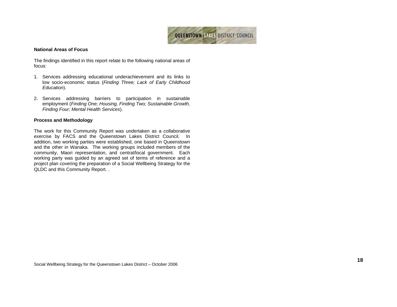

#### **National Areas of Focus**

The findings identified in this report relate to the following national areas of focus:

- 1. Services addressing educational underachievement and its links to low socio-economic status (*Finding Three; Lack of Early Childhood Education*).
- 2. Services addressing barriers to participation in sustainable employment (*Finding One; Housing, Finding Two; Sustainable Growth, Finding Four; Mental Health Services*).

#### **Process and Methodology**

The work for this Community Report was undertaken as a collaborative exercise by FACS and the Queenstown Lakes District Council. In addition, two working parties were established, one based in Queenstown and the other in Wanaka. The working groups included members of the community, Maori representation, and central/local government. Each working party was guided by an agreed set of terms of reference and a project plan covering the preparation of a Social Wellbeing Strategy for the QLDC and this Community Report. .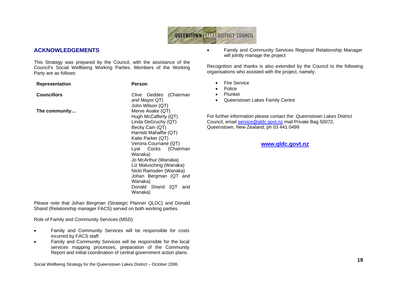

# **ACKNOWLEDGEMENTS**

This Strategy was prepared by the Council, with the assistance of the Council's Social Wellbeing Working Parties. Members of the Working Party are as follows:

| <b>Representation</b> | Person                                                                                                                                                                                                            |  |
|-----------------------|-------------------------------------------------------------------------------------------------------------------------------------------------------------------------------------------------------------------|--|
| <b>Councillors</b>    | Clive Geddes (Chairman<br>and Mayor QT)<br>John Wilson (QT)                                                                                                                                                       |  |
| The community         | Merve Aoake (QT)<br>Hugh McCafferty (QT)<br>Linda DeGruchy (QT)<br>Becky Cain (QT)<br>Harriett Mahaffie (QT)<br>Katie Parker (QT)                                                                                 |  |
|                       | Verona Cournane (QT)<br>Lyal Cocks (Chairman<br>Wanaka)<br>Jo McArthur (Wanaka)<br>Liz Malusching (Wanaka)<br>Nicki Ramsden (Wanaka)<br>Johan Bergman (QT and<br>Wanaka)<br>Donald Shand<br>(QT<br>and<br>Wanaka) |  |

Please note that Johan Bergman (Strategic Planner QLDC) and Donald Shand (Relationship manager FACS) served on both working parties.

Role of Family and Community Services (MSD)

- Family and Community Services will be responsible for costs incurred by FACS staff.
- Family and Community Services will be responsible for the local services mapping processes, preparation of the Community Report and initial coordination of central government action plans.

Social Wellbeing Strategy for the Queenstown Lakes District – October 2006

• Family and Community Services Regional Relationship Manager will jointly manage the project

Recognition and thanks is also extended by the Council to the following organisations who assisted with the project, namely:

- **Fire Service**
- Police
- Plunket
- Queenstown Lakes Family Centre

For further information please contact the: Queenstown Lakes District Council, email service@qldc.govt.nz mail Private Bag 50072, Queenstown, New Zealand, ph 03 441 0499

# **www.qldc.govt.nz**